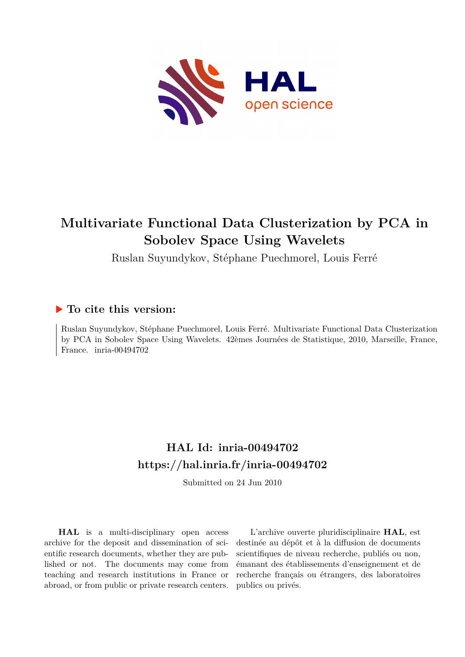

## **Multivariate Functional Data Clusterization by PCA in Sobolev Space Using Wavelets**

Ruslan Suyundykov, Stéphane Puechmorel, Louis Ferré

### **To cite this version:**

Ruslan Suyundykov, Stéphane Puechmorel, Louis Ferré. Multivariate Functional Data Clusterization by PCA in Sobolev Space Using Wavelets. 42èmes Journées de Statistique, 2010, Marseille, France, France. inria-00494702

## **HAL Id: inria-00494702 <https://hal.inria.fr/inria-00494702>**

Submitted on 24 Jun 2010

**HAL** is a multi-disciplinary open access archive for the deposit and dissemination of scientific research documents, whether they are published or not. The documents may come from teaching and research institutions in France or abroad, or from public or private research centers.

L'archive ouverte pluridisciplinaire **HAL**, est destinée au dépôt et à la diffusion de documents scientifiques de niveau recherche, publiés ou non, émanant des établissements d'enseignement et de recherche français ou étrangers, des laboratoires publics ou privés.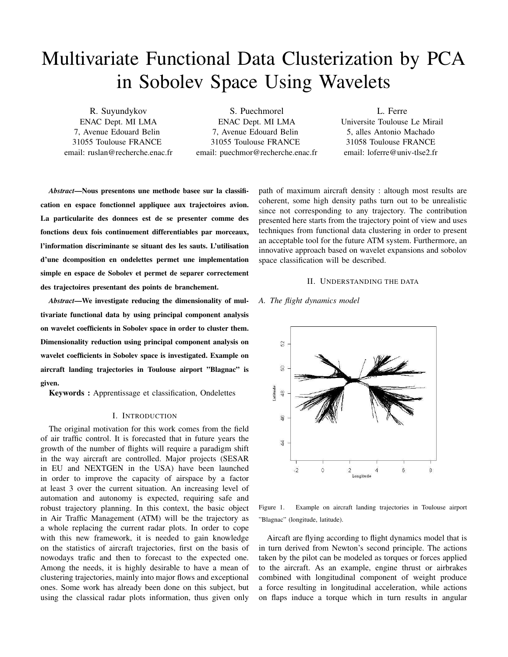# Multivariate Functional Data Clusterization by PCA in Sobolev Space Using Wavelets

R. Suyundykov ENAC Dept. MI LMA 7, Avenue Edouard Belin 31055 Toulouse FRANCE email: ruslan@recherche.enac.fr

S. Puechmorel ENAC Dept. MI LMA 7, Avenue Edouard Belin 31055 Toulouse FRANCE email: puechmor@recherche.enac.fr

L. Ferre Universite Toulouse Le Mirail 5, alles Antonio Machado 31058 Toulouse FRANCE email: loferre@univ-tlse2.fr

*Abstract*—Nous presentons une methode basee sur la classification en espace fonctionnel appliquee aux trajectoires avion. La particularite des donnees est de se presenter comme des fonctions deux fois continuement differentiables par morceaux, l'information discriminante se situant des les sauts. L'utilisation d'une dcomposition en ondelettes permet une implementation simple en espace de Sobolev et permet de separer correctement des trajectoires presentant des points de branchement.

*Abstract*—We investigate reducing the dimensionality of multivariate functional data by using principal component analysis on wavelet coefficients in Sobolev space in order to cluster them. Dimensionality reduction using principal component analysis on wavelet coefficients in Sobolev space is investigated. Example on aircraft landing trajectories in Toulouse airport "Blagnac" is given.

Keywords : Apprentissage et classification, Ondelettes

#### I. INTRODUCTION

The original motivation for this work comes from the field of air traffic control. It is forecasted that in future years the growth of the number of flights will require a paradigm shift in the way aircraft are controlled. Major projects (SESAR in EU and NEXTGEN in the USA) have been launched in order to improve the capacity of airspace by a factor at least 3 over the current situation. An increasing level of automation and autonomy is expected, requiring safe and robust trajectory planning. In this context, the basic object in Air Traffic Management (ATM) will be the trajectory as a whole replacing the current radar plots. In order to cope with this new framework, it is needed to gain knowledge on the statistics of aircraft trajectories, first on the basis of nowodays trafic and then to forecast to the expected one. Among the needs, it is highly desirable to have a mean of clustering trajectories, mainly into major flows and exceptional ones. Some work has already been done on this subject, but using the classical radar plots information, thus given only

path of maximum aircraft density : altough most results are coherent, some high density paths turn out to be unrealistic since not corresponding to any trajectory. The contribution presented here starts from the trajectory point of view and uses techniques from functional data clustering in order to present an acceptable tool for the future ATM system. Furthermore, an innovative approach based on wavelet expansions and sobolov space classification will be described.

#### II. UNDERSTANDING THE DATA

#### *A. The flight dynamics model*



Figure 1. Example on aircraft landing trajectories in Toulouse airport "Blagnac" (longitude, latitude).

Aircaft are flying according to flight dynamics model that is in turn derived from Newton's second principle. The actions taken by the pilot can be modeled as torques or forces applied to the aircraft. As an example, engine thrust or airbrakes combined with longitudinal component of weight produce a force resulting in longitudinal acceleration, while actions on flaps induce a torque which in turn results in angular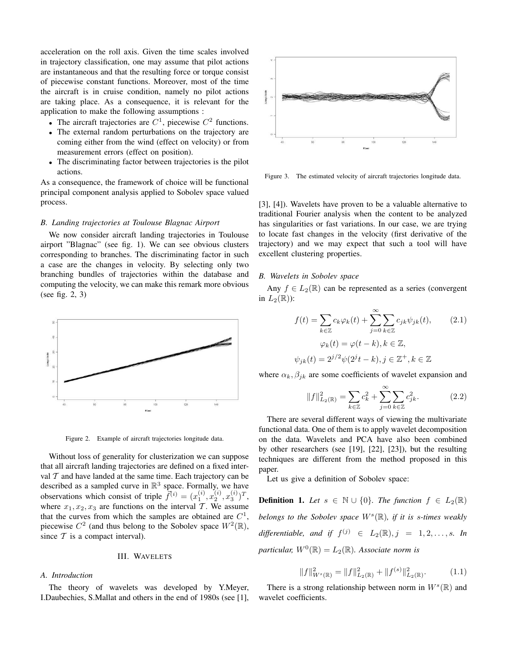acceleration on the roll axis. Given the time scales involved in trajectory classification, one may assume that pilot actions are instantaneous and that the resulting force or torque consist of piecewise constant functions. Moreover, most of the time the aircraft is in cruise condition, namely no pilot actions are taking place. As a consequence, it is relevant for the application to make the following assumptions :

- The aircraft trajectories are  $C^1$ , piecewise  $C^2$  functions.
- The external random perturbations on the trajectory are coming either from the wind (effect on velocity) or from measurement errors (effect on position).
- The discriminating factor between trajectories is the pilot actions.

As a consequence, the framework of choice will be functional principal component analysis applied to Sobolev space valued process.

#### *B. Landing trajectories at Toulouse Blagnac Airport*

We now consider aircraft landing trajectories in Toulouse airport "Blagnac" (see fig. 1). We can see obvious clusters corresponding to branches. The discriminating factor in such a case are the changes in velocity. By selecting only two branching bundles of trajectories within the database and computing the velocity, we can make this remark more obvious (see fig. 2, 3)



Figure 2. Example of aircraft trajectories longitude data.

Without loss of generality for clusterization we can suppose that all aircraft landing trajectories are defined on a fixed interval  $T$  and have landed at the same time. Each trajectory can be described as a sampled curve in  $\mathbb{R}^3$  space. Formally, we have observations which consist of triple  $\tilde{f}^{(i)} = (x_1^{(i)}, x_2^{(i)}, x_3^{(i)})^T$ , where  $x_1, x_2, x_3$  are functions on the interval T. We assume that the curves from which the samples are obtained are  $C^1$ , piecewise  $C^2$  (and thus belong to the Sobolev space  $W^2(\mathbb{R})$ , since  $T$  is a compact interval).

#### III. WAVELETS

#### *A. Introduction*

The theory of wavelets was developed by Y.Meyer, I.Daubechies, S.Mallat and others in the end of 1980s (see [1],



Figure 3. The estimated velocity of aircraft trajectories longitude data.

[3], [4]). Wavelets have proven to be a valuable alternative to traditional Fourier analysis when the content to be analyzed has singularities or fast variations. In our case, we are trying to locate fast changes in the velocity (first derivative of the trajectory) and we may expect that such a tool will have excellent clustering properties.

#### *B. Wavelets in Sobolev space*

Any  $f \in L_2(\mathbb{R})$  can be represented as a series (convergent in  $L_2(\mathbb{R})$ :

$$
f(t) = \sum_{k \in \mathbb{Z}} c_k \varphi_k(t) + \sum_{j=0}^{\infty} \sum_{k \in \mathbb{Z}} c_{jk} \psi_{jk}(t),
$$
 (2.1)  

$$
\varphi_k(t) = \varphi(t - k), k \in \mathbb{Z},
$$
  

$$
\psi_{jk}(t) = 2^{j/2} \psi(2^j t - k), j \in \mathbb{Z}^+, k \in \mathbb{Z}
$$

where  $\alpha_k, \beta_{jk}$  are some coefficients of wavelet expansion and

$$
||f||_{L_2(\mathbb{R})}^2 = \sum_{k \in \mathbb{Z}} c_k^2 + \sum_{j=0}^{\infty} \sum_{k \in \mathbb{Z}} c_{jk}^2.
$$
 (2.2)

There are several different ways of viewing the multivariate functional data. One of them is to apply wavelet decomposition on the data. Wavelets and PCA have also been combined by other researchers (see [19], [22], [23]), but the resulting techniques are different from the method proposed in this paper.

Let us give a definition of Sobolev space:

**Definition 1.** Let  $s \in \mathbb{N} \cup \{0\}$ . The function  $f \in L_2(\mathbb{R})$ *belongs to the Sobolev space* W<sup>s</sup> (R)*, if it is* s*-times weakly*  $differential$ , and if  $f^{(j)} \in L_2(\mathbb{R}), j = 1, 2, \ldots, s$ . In  $\emph{particular}, \emph{W}^0(\mathbb{R}) = L_2(\mathbb{R})$ . Associate norm is

$$
||f||_{W^{s}(\mathbb{R})}^{2} = ||f||_{L_{2}(\mathbb{R})}^{2} + ||f^{(s)}||_{L_{2}(\mathbb{R})}^{2}.
$$
 (1.1)

There is a strong relationship between norm in  $W<sup>s</sup>(\mathbb{R})$  and wavelet coefficients.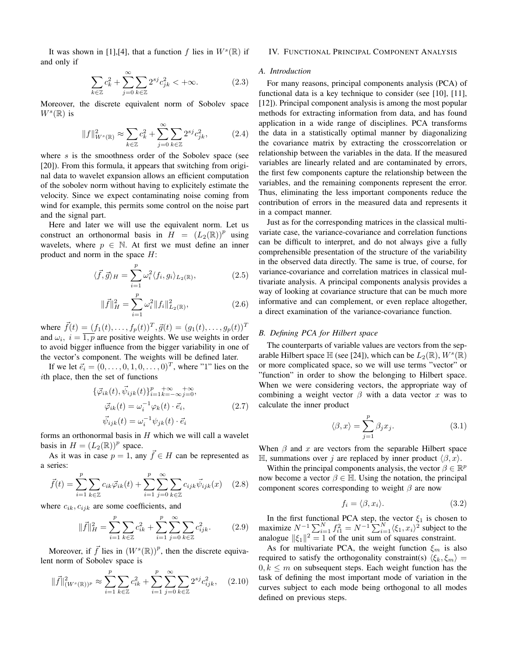It was shown in [1],[4], that a function f lies in  $W<sup>s</sup>(\mathbb{R})$  if and only if

$$
\sum_{k \in \mathbb{Z}} c_k^2 + \sum_{j=0}^{\infty} \sum_{k \in \mathbb{Z}} 2^{sj} c_{jk}^2 < +\infty.
$$
 (2.3)

Moreover, the discrete equivalent norm of Sobolev space  $W^s(\mathbb{R})$  is

$$
||f||_{W^{s}(\mathbb{R})}^{2} \approx \sum_{k \in \mathbb{Z}} c_{k}^{2} + \sum_{j=0}^{\infty} \sum_{k \in \mathbb{Z}} 2^{sj} c_{jk}^{2}, \qquad (2.4)
$$

where  $s$  is the smoothness order of the Sobolev space (see [20]). From this formula, it appears that switching from original data to wavelet expansion allows an efficient computation of the sobolev norm without having to explicitely estimate the velocity. Since we expect contaminating noise coming from wind for example, this permits some control on the noise part and the signal part.

Here and later we will use the equivalent norm. Let us construct an orthonormal basis in  $\hat{H} = (L_2(\mathbb{R}))^p$  using wavelets, where  $p \in \mathbb{N}$ . At first we must define an inner product and norm in the space  $H$ :

$$
\langle \vec{f}, \vec{g} \rangle_H = \sum_{i=1}^p \omega_i^2 \langle f_i, g_i \rangle_{L_2(\mathbb{R})},\tag{2.5}
$$

$$
\|\vec{f}\|_{H}^{2} = \sum_{i=1}^{p} \omega_{i}^{2} \|f_{i}\|_{L_{2}(\mathbb{R})}^{2}, \qquad (2.6)
$$

where  $\vec{f}(t) = (f_1(t), \dots, f_p(t))^T$ ,  $\vec{g}(t) = (g_1(t), \dots, g_p(t))^T$ and  $\omega_i$ ,  $i = \overline{1, p}$  are positive weights. We use weights in order to avoid bigger influence from the bigger variability in one of the vector's component. The weights will be defined later.

If we let  $\vec{e}_i = (0, \dots, 0, 1, 0, \dots, 0)^T$ , where "1" lies on the ith place, then the set of functions

$$
\{\vec{\varphi}_{ik}(t), \vec{\psi}_{ijk}(t)\}_{i=1}^p \underset{k=-\infty}{\overset{+\infty}{\sum}} \underset{j=0}{\overset{+\infty}{\sum}} ,
$$
  

$$
\vec{\varphi}_{ik}(t) = \omega_i^{-1} \varphi_k(t) \cdot \vec{e}_i, \tag{2.7}
$$
  

$$
\vec{\psi}_{ijk}(t) = \omega_i^{-1} \psi_{jk}(t) \cdot \vec{e}_i
$$

forms an orthonormal basis in  $H$  which we will call a wavelet basis in  $H = (L_2(\mathbb{R}))^p$  space.

As it was in case  $p = 1$ , any  $\overline{f} \in H$  can be represented as a series:

$$
\vec{f}(t) = \sum_{i=1}^{p} \sum_{k \in \mathbb{Z}} c_{ik} \vec{\varphi}_{ik}(t) + \sum_{i=1}^{p} \sum_{j=0}^{\infty} \sum_{k \in \mathbb{Z}} c_{ijk} \vec{\psi}_{ijk}(x) \quad (2.8)
$$

where  $c_{ik}, c_{ijk}$  are some coefficients, and

$$
\|\vec{f}\|_{H}^{2} = \sum_{i=1}^{p} \sum_{k \in \mathbb{Z}} c_{ik}^{2} + \sum_{i=1}^{p} \sum_{j=0}^{\infty} \sum_{k \in \mathbb{Z}} c_{ijk}^{2}.
$$
 (2.9)

Moreover, if  $\vec{f}$  lies in  $(W^s(\mathbb{R}))^p$ , then the discrete equivalent norm of Sobolev space is

$$
\|\vec{f}\|_{(W^s(\mathbb{R}))^p}^2 \approx \sum_{i=1}^p \sum_{k \in \mathbb{Z}} c_{ik}^2 + \sum_{i=1}^p \sum_{j=0}^\infty \sum_{k \in \mathbb{Z}} 2^{sj} c_{ijk}^2, \quad (2.10)
$$

#### IV. FUNCTIONAL PRINCIPAL COMPONENT ANALYSIS

#### *A. Introduction*

For many reasons, principal components analysis (PCA) of functional data is a key technique to consider (see [10], [11], [12]). Principal component analysis is among the most popular methods for extracting information from data, and has found application in a wide range of disciplines. PCA transforms the data in a statistically optimal manner by diagonalizing the covariance matrix by extracting the crosscorrelation or relationship between the variables in the data. If the measured variables are linearly related and are contaminated by errors, the first few components capture the relationship between the variables, and the remaining components represent the error. Thus, eliminating the less important components reduce the contribution of errors in the measured data and represents it in a compact manner.

Just as for the corresponding matrices in the classical multivariate case, the variance-covariance and correlation functions can be difficult to interpret, and do not always give a fully comprehensible presentation of the structure of the variability in the observed data directly. The same is true, of course, for variance-covariance and correlation matrices in classical multivariate analysis. A principal components analysis provides a way of looking at covariance structure that can be much more informative and can complement, or even replace altogether, a direct examination of the variance-covariance function.

#### *B. Defining PCA for Hilbert space*

The counterparts of variable values are vectors from the separable Hilbert space  $\mathbb H$  (see [24]), which can be  $L_2(\mathbb R)$ ,  $W^s(\mathbb R)$ or more complicated space, so we will use terms "vector" or "function" in order to show the belonging to Hilbert space. When we were considering vectors, the appropriate way of combining a weight vector  $\beta$  with a data vector x was to calculate the inner product

$$
\langle \beta, x \rangle = \sum_{j=1}^{p} \beta_j x_j.
$$
 (3.1)

When  $\beta$  and x are vectors from the separable Hilbert space H, summations over j are replaced by inner product  $\langle \beta, x \rangle$ .

Within the principal components analysis, the vector  $\beta \in \mathbb{R}^p$ now become a vector  $\beta \in \mathbb{H}$ . Using the notation, the principal component scores corresponding to weight  $\beta$  are now

$$
f_i = \langle \beta, x_i \rangle. \tag{3.2}
$$

In the first functional PCA step, the vector  $\xi_1$  is chosen to maximize  $N^{-1} \sum_{i=1}^{N} f_{i1}^2 = N^{-1} \sum_{i=1}^{N} \langle \xi_1, x_i \rangle^2$  subject to the analogue  $\|\xi_1\|^2 = 1$  of the unit sum of squares constraint.

As for multivariate PCA, the weight function  $\xi_m$  is also required to satisfy the orthogonality constraint(s)  $\langle \xi_k, \xi_m \rangle =$  $0, k \leq m$  on subsequent steps. Each weight function has the task of defining the most important mode of variation in the curves subject to each mode being orthogonal to all modes defined on previous steps.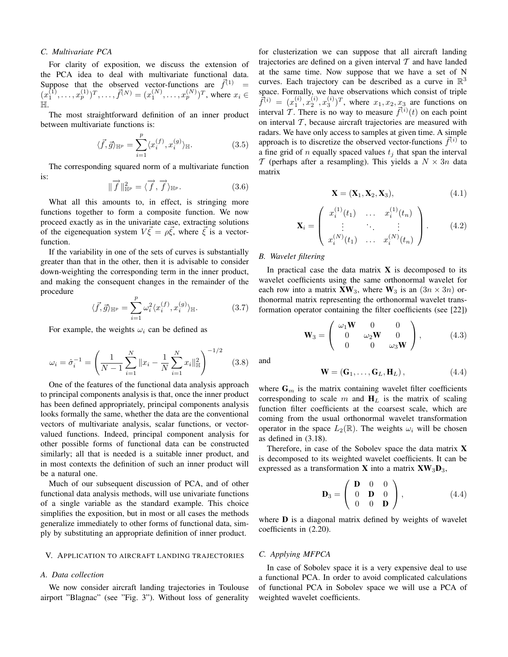#### *C. Multivariate PCA*

For clarity of exposition, we discuss the extension of the PCA idea to deal with multivariate functional data. Suppose that the observed vector-functions are  $\vec{f}^{(1)}$  =  $(x_1^{(1)},...,x_p^{(1)})^T,..., \vec{f}^{(N)} = (x_1^{(N)},...,x_p^{(N)})^T$ , where  $x_i \in$ H.

The most straightforward definition of an inner product between multivariate functions is:

$$
\langle \vec{f}, \vec{g} \rangle_{\mathbb{H}^p} = \sum_{i=1}^p \langle x_i^{(f)}, x_i^{(g)} \rangle_{\mathbb{H}}.
$$
 (3.5)

The corresponding squared norm of a multivariate function is:

$$
\|\overrightarrow{f}\|_{\mathbb{H}^p}^2 = \langle \overrightarrow{f}, \overrightarrow{f} \rangle_{\mathbb{H}^p}.
$$
 (3.6)

What all this amounts to, in effect, is stringing more functions together to form a composite function. We now proceed exactly as in the univariate case, extracting solutions of the eigenequation system  $V\vec{\xi} = \rho \vec{\xi}$ , where  $\vec{\xi}$  is a vectorfunction.

If the variability in one of the sets of curves is substantially greater than that in the other, then it is advisable to consider down-weighting the corresponding term in the inner product, and making the consequent changes in the remainder of the procedure

$$
\langle \vec{f}, \vec{g} \rangle_{\mathbb{H}^p} = \sum_{i=1}^p \omega_i^2 \langle x_i^{(f)}, x_i^{(g)} \rangle_{\mathbb{H}}.
$$
 (3.7)

For example, the weights  $\omega_i$  can be defined as

$$
\omega_i = \hat{\sigma}_i^{-1} = \left(\frac{1}{N-1} \sum_{i=1}^N \|x_i - \frac{1}{N} \sum_{i=1}^N x_i\|_{\mathbb{H}}^2\right)^{-1/2} \quad (3.8)
$$

One of the features of the functional data analysis approach to principal components analysis is that, once the inner product has been defined appropriately, principal components analysis looks formally the same, whether the data are the conventional vectors of multivariate analysis, scalar functions, or vectorvalued functions. Indeed, principal component analysis for other possible forms of functional data can be constructed similarly; all that is needed is a suitable inner product, and in most contexts the definition of such an inner product will be a natural one.

Much of our subsequent discussion of PCA, and of other functional data analysis methods, will use univariate functions of a single variable as the standard example. This choice simplifies the exposition, but in most or all cases the methods generalize immediately to other forms of functional data, simply by substituting an appropriate definition of inner product.

#### V. APPLICATION TO AIRCRAFT LANDING TRAJECTORIES

#### *A. Data collection*

We now consider aircraft landing trajectories in Toulouse airport "Blagnac" (see "Fig. 3"). Without loss of generality

for clusterization we can suppose that all aircraft landing trajectories are defined on a given interval  $T$  and have landed at the same time. Now suppose that we have a set of N curves. Each trajectory can be described as a curve in  $\mathbb{R}^3$ space. Formally, we have observations which consist of triple  $\bar{f}^{(i)} = (x_1^{(i)}, x_2^{(i)}, x_3^{(i)})^T$ , where  $x_1, x_2, x_3$  are functions on interval T. There is no way to measure  $\vec{f}^{(i)}(t)$  on each point on interval  $T$ , because aircraft trajectories are measured with radars. We have only access to samples at given time. A simple approach is to discretize the observed vector-functions  $\vec{f}^{(i)}$  to a fine grid of n equally spaced values  $t_i$  that span the interval T (perhaps after a resampling). This yields a  $N \times 3n$  data matrix

$$
\mathbf{X} = (\mathbf{X}_1, \mathbf{X}_2, \mathbf{X}_3),\tag{4.1}
$$

$$
\mathbf{X}_{i} = \begin{pmatrix} x_{i}^{(1)}(t_{1}) & \dots & x_{i}^{(1)}(t_{n}) \\ \vdots & \ddots & \vdots \\ x_{i}^{(N)}(t_{1}) & \dots & x_{i}^{(N)}(t_{n}) \end{pmatrix} .
$$
 (4.2)

#### *B. Wavelet filtering*

In practical case the data matrix  $X$  is decomposed to its wavelet coefficients using the same orthonormal wavelet for each row into a matrix  $\mathbf{X}\mathbf{W}_3$ , where  $\mathbf{W}_3$  is an  $(3n \times 3n)$  orthonormal matrix representing the orthonormal wavelet transformation operator containing the filter coefficients (see [22])

$$
\mathbf{W}_3 = \begin{pmatrix} \omega_1 \mathbf{W} & 0 & 0 \\ 0 & \omega_2 \mathbf{W} & 0 \\ 0 & 0 & \omega_3 \mathbf{W} \end{pmatrix}, \quad (4.3)
$$

and

$$
\mathbf{W} = (\mathbf{G}_1, \dots, \mathbf{G}_L, \mathbf{H}_L), \tag{4.4}
$$

where  $G_m$  is the matrix containing wavelet filter coefficients corresponding to scale m and  $H_L$  is the matrix of scaling function filter coefficients at the coarsest scale, which are coming from the usual orthonormal wavelet transformation operator in the space  $L_2(\mathbb{R})$ . The weights  $\omega_i$  will be chosen as defined in (3.18).

Therefore, in case of the Sobolev space the data matrix X is decomposed to its weighted wavelet coefficients. It can be expressed as a transformation **X** into a matrix  $\mathbf{X} \mathbf{W}_3 \mathbf{D}_3$ ,

$$
\mathbf{D}_3 = \left( \begin{array}{ccc} \mathbf{D} & 0 & 0 \\ 0 & \mathbf{D} & 0 \\ 0 & 0 & \mathbf{D} \end{array} \right), \tag{4.4}
$$

where **D** is a diagonal matrix defined by weights of wavelet coefficients in (2.20).

#### *C. Applying MFPCA*

In case of Sobolev space it is a very expensive deal to use a functional PCA. In order to avoid complicated calculations of functional PCA in Sobolev space we will use a PCA of weighted wavelet coefficients.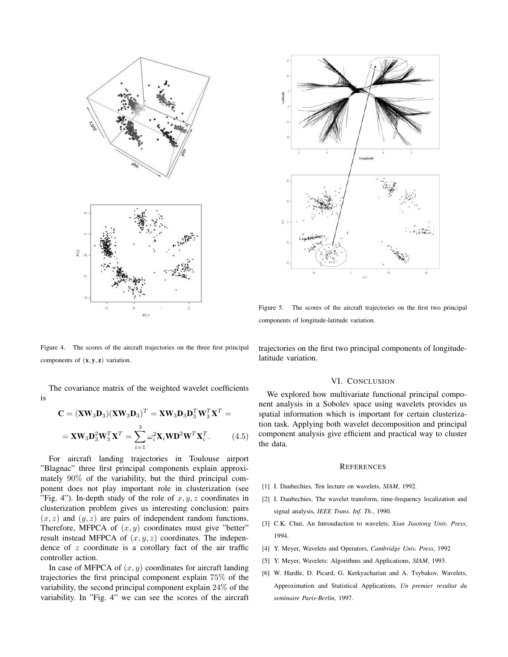

Figure 5. The scores of the aircraft trajectories on the first two principal components of longitude-latitude variation.

Figure 4. The scores of the aircraft trajectories on the three first principal components of  $(x, y, z)$  variation.

The covariance matrix of the weighted wavelet coefficients is

$$
\mathbf{C} = (\mathbf{X} \mathbf{W}_3 \mathbf{D}_3)(\mathbf{X} \mathbf{W}_3 \mathbf{D}_3)^T = \mathbf{X} \mathbf{W}_3 \mathbf{D}_3 \mathbf{D}_3^T \mathbf{W}_3^T \mathbf{X}^T =
$$

$$
= \mathbf{X} \mathbf{W}_3 \mathbf{D}_3^2 \mathbf{W}_3^T \mathbf{X}^T = \sum_{i=1}^3 \omega_i^2 \mathbf{X}_i \mathbf{W} \mathbf{D}^2 \mathbf{W}^T \mathbf{X}_i^T.
$$
(4.5)

For aircraft landing trajectories in Toulouse airport "Blagnac" three first principal components explain approximately 90% of the variability, but the third principal component does not play important role in clusterization (see "Fig. 4"). In-depth study of the role of  $x, y, z$  coordinates in clusterization problem gives us interesting conclusion: pairs  $(x, z)$  and  $(y, z)$  are pairs of independent random functions. Therefore, MFPCA of  $(x, y)$  coordinates must give "better" result instead MFPCA of  $(x, y, z)$  coordinates. The independence of z coordinate is a corollary fact of the air traffic controller action.

In case of MFPCA of  $(x, y)$  coordinates for aircraft landing trajectories the first principal component explain 75% of the variability, the second principal component explain 24% of the variability. In "Fig. 4" we can see the scores of the aircraft trajectories on the first two principal components of longitudelatitude variation.

#### VI. CONCLUSION

We explored how multivariate functional principal component analysis in a Sobolev space using wavelets provides us spatial information which is important for certain clusterization task. Applying both wavelet decomposition and principal component analysis give efficient and practical way to cluster the data.

#### **REFERENCES**

- [1] I. Daubechies, Ten lecture on wavelets, *SIAM*, 1992.
- [2] I. Daubechies, The wavelet transform, time-frequency localization and signal analysis, *IEEE Trans. Inf. Th.*, 1990.
- [3] C.K. Chui, An Introuduction to wavelets, *Xian Jiaotong Univ. Press*, 1994.
- [4] Y. Meyer, Wavelets and Operators, *Cambridge Univ. Press*, 1992
- [5] Y. Meyer, Wavelets: Algorithms and Applications, *SIAM*, 1993.
- [6] W. Hardle, D. Picard, G. Kerkyacharian and A. Tsybakov, Wavelets, Approximation and Statistical Applications, *Un premier resultat du seminaire Paris-Berlin*, 1997.